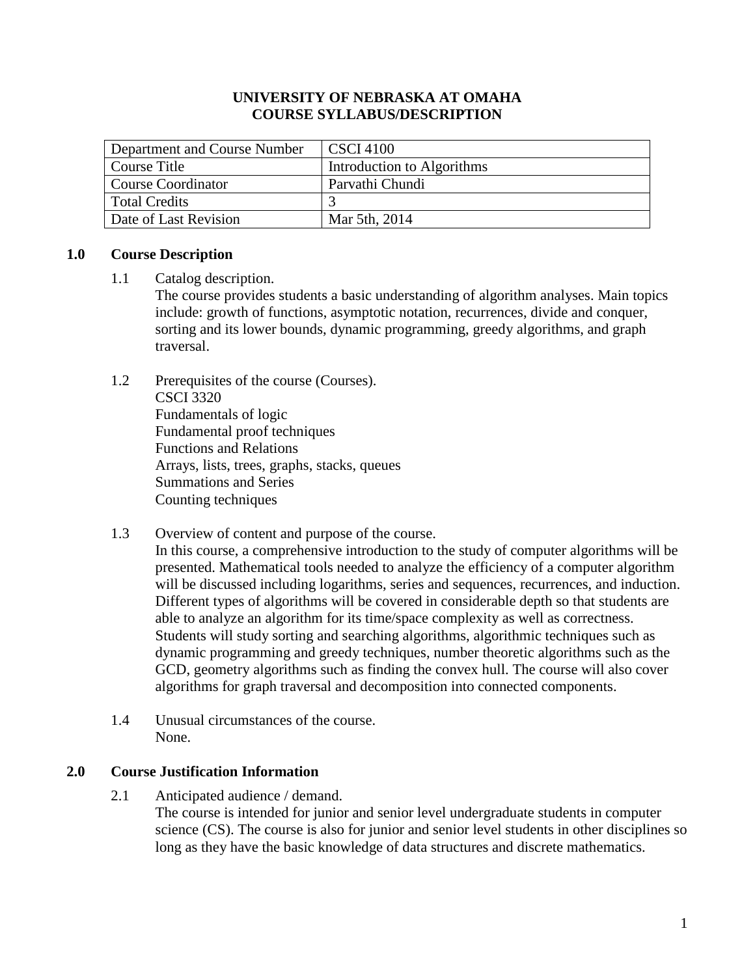## **UNIVERSITY OF NEBRASKA AT OMAHA COURSE SYLLABUS/DESCRIPTION**

| Department and Course Number | <b>CSCI</b> 4100           |
|------------------------------|----------------------------|
| Course Title                 | Introduction to Algorithms |
| Course Coordinator           | Parvathi Chundi            |
| Total Credits                |                            |
| Date of Last Revision        | Mar 5th, 2014              |

## **1.0 Course Description**

### 1.1 Catalog description.

The course provides students a basic understanding of algorithm analyses. Main topics include: growth of functions, asymptotic notation, recurrences, divide and conquer, sorting and its lower bounds, dynamic programming, greedy algorithms, and graph traversal.

- 1.2 Prerequisites of the course (Courses). CSCI 3320 Fundamentals of logic Fundamental proof techniques Functions and Relations Arrays, lists, trees, graphs, stacks, queues Summations and Series Counting techniques
- 1.3 Overview of content and purpose of the course.

In this course, a comprehensive introduction to the study of computer algorithms will be presented. Mathematical tools needed to analyze the efficiency of a computer algorithm will be discussed including logarithms, series and sequences, recurrences, and induction. Different types of algorithms will be covered in considerable depth so that students are able to analyze an algorithm for its time/space complexity as well as correctness. Students will study sorting and searching algorithms, algorithmic techniques such as dynamic programming and greedy techniques, number theoretic algorithms such as the GCD, geometry algorithms such as finding the convex hull. The course will also cover algorithms for graph traversal and decomposition into connected components.

1.4 Unusual circumstances of the course. None.

# **2.0 Course Justification Information**

2.1 Anticipated audience / demand.

The course is intended for junior and senior level undergraduate students in computer science (CS). The course is also for junior and senior level students in other disciplines so long as they have the basic knowledge of data structures and discrete mathematics.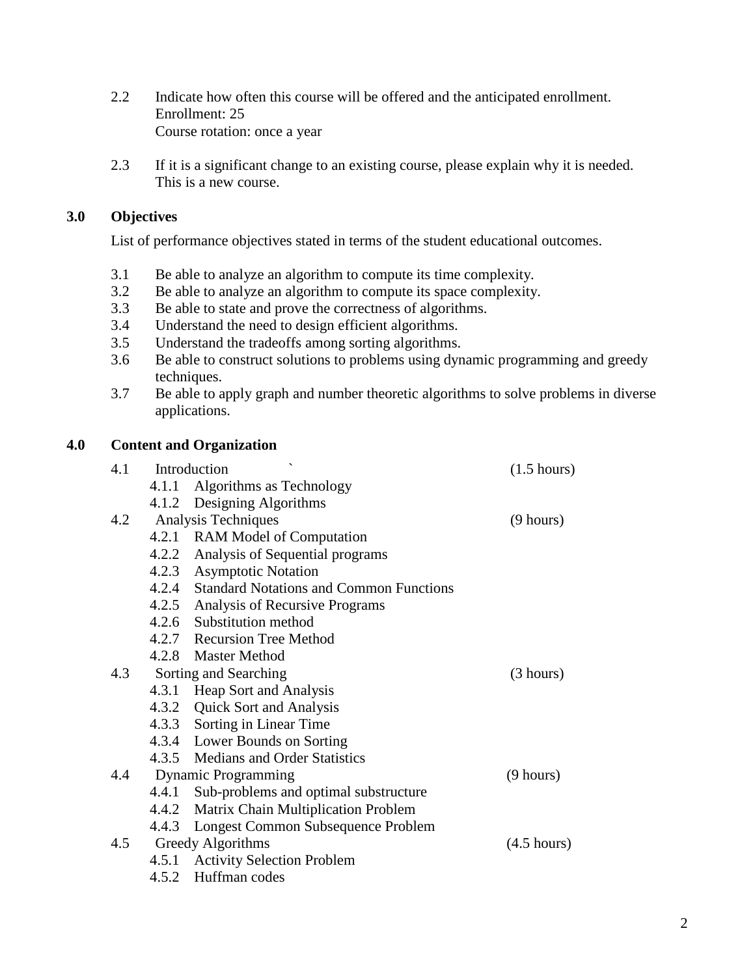- 2.2 Indicate how often this course will be offered and the anticipated enrollment. Enrollment: 25 Course rotation: once a year
- 2.3 If it is a significant change to an existing course, please explain why it is needed. This is a new course.

# **3.0 Objectives**

List of performance objectives stated in terms of the student educational outcomes.

- 3.1 Be able to analyze an algorithm to compute its time complexity.
- 3.2 Be able to analyze an algorithm to compute its space complexity.
- 3.3 Be able to state and prove the correctness of algorithms.
- 3.4 Understand the need to design efficient algorithms.
- 3.5 Understand the tradeoffs among sorting algorithms.
- 3.6 Be able to construct solutions to problems using dynamic programming and greedy techniques.
- 3.7 Be able to apply graph and number theoretic algorithms to solve problems in diverse applications.

# **4.0 Content and Organization**

| 4.1 |       | Introduction                                  | $(1.5 \text{ hours})$ |
|-----|-------|-----------------------------------------------|-----------------------|
|     | 4.1.1 | Algorithms as Technology                      |                       |
|     |       | 4.1.2 Designing Algorithms                    |                       |
| 4.2 |       | Analysis Techniques                           | $(9 \text{ hours})$   |
|     |       | 4.2.1 RAM Model of Computation                |                       |
|     |       | 4.2.2 Analysis of Sequential programs         |                       |
|     |       | 4.2.3 Asymptotic Notation                     |                       |
|     |       | 4.2.4 Standard Notations and Common Functions |                       |
|     |       | 4.2.5 Analysis of Recursive Programs          |                       |
|     |       | 4.2.6 Substitution method                     |                       |
|     |       | 4.2.7 Recursion Tree Method                   |                       |
|     |       | 4.2.8 Master Method                           |                       |
| 4.3 |       | Sorting and Searching                         | (3 hours)             |
|     |       | 4.3.1 Heap Sort and Analysis                  |                       |
|     |       | 4.3.2 Quick Sort and Analysis                 |                       |
|     |       | 4.3.3 Sorting in Linear Time                  |                       |
|     |       | 4.3.4 Lower Bounds on Sorting                 |                       |
|     |       | 4.3.5 Medians and Order Statistics            |                       |
| 4.4 |       | <b>Dynamic Programming</b>                    | $(9 \text{ hours})$   |
|     |       | 4.4.1 Sub-problems and optimal substructure   |                       |
|     |       | 4.4.2 Matrix Chain Multiplication Problem     |                       |
|     |       | 4.4.3 Longest Common Subsequence Problem      |                       |
| 4.5 |       | Greedy Algorithms                             | $(4.5 \text{ hours})$ |
|     |       | 4.5.1 Activity Selection Problem              |                       |
|     | 4.5.2 | Huffman codes                                 |                       |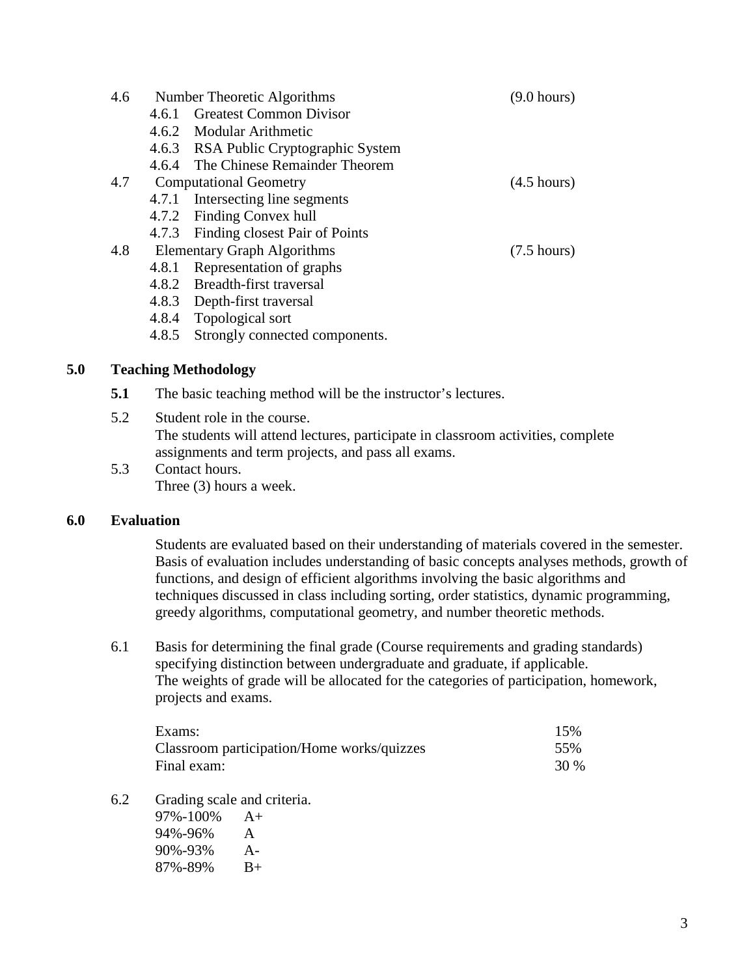| 4.6 |       | Number Theoretic Algorithms           | $(9.0 \text{ hours})$ |
|-----|-------|---------------------------------------|-----------------------|
|     | 4.6.1 | <b>Greatest Common Divisor</b>        |                       |
|     |       | 4.6.2 Modular Arithmetic              |                       |
|     |       | 4.6.3 RSA Public Cryptographic System |                       |
|     |       | 4.6.4 The Chinese Remainder Theorem   |                       |
|     |       | 4.7 Computational Geometry            | $(4.5 \text{ hours})$ |
|     |       | 4.7.1 Intersecting line segments      |                       |
|     |       | 4.7.2 Finding Convex hull             |                       |
|     |       | 4.7.3 Finding closest Pair of Points  |                       |
| 4.8 |       | <b>Elementary Graph Algorithms</b>    | $(7.5 \text{ hours})$ |
|     | 4.8.1 | Representation of graphs              |                       |
|     |       | 4.8.2 Breadth-first traversal         |                       |
|     |       | 4.8.3 Depth-first traversal           |                       |
|     | 4.8.4 | Topological sort                      |                       |

4.8.5 Strongly connected components.

## **5.0 Teaching Methodology**

- **5.1** The basic teaching method will be the instructor's lectures.
- 5.2 Student role in the course. The students will attend lectures, participate in classroom activities, complete assignments and term projects, and pass all exams.
- 5.3 Contact hours. Three (3) hours a week.

### **6.0 Evaluation**

Students are evaluated based on their understanding of materials covered in the semester. Basis of evaluation includes understanding of basic concepts analyses methods, growth of functions, and design of efficient algorithms involving the basic algorithms and techniques discussed in class including sorting, order statistics, dynamic programming, greedy algorithms, computational geometry, and number theoretic methods.

6.1 Basis for determining the final grade (Course requirements and grading standards) specifying distinction between undergraduate and graduate, if applicable. The weights of grade will be allocated for the categories of participation, homework, projects and exams.

| Exams:                                     | 15%  |
|--------------------------------------------|------|
| Classroom participation/Home works/quizzes | 55%  |
| Final exam:                                | 30 % |

6.2 Grading scale and criteria.

| 97%-100% | $A+$  |
|----------|-------|
| 94%-96%  | A     |
| 90%-93%  | $A -$ |
| 87%-89%  | $B+$  |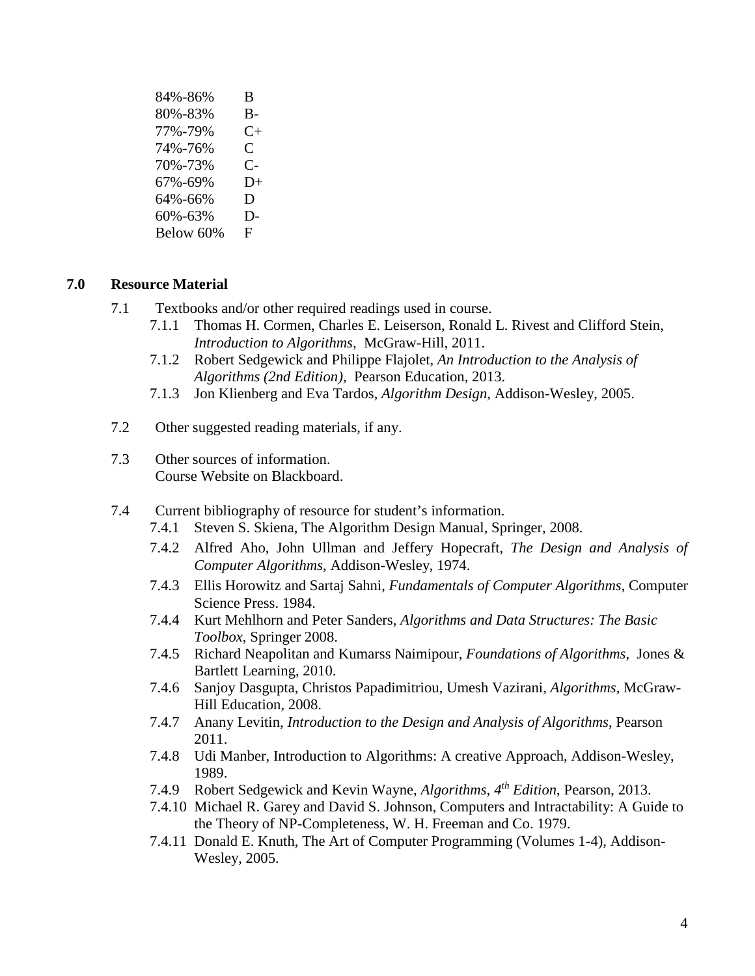| 84%-86%   | B         |
|-----------|-----------|
| 80%-83%   | B-        |
| 77%-79%   | $C_{\pm}$ |
| 74%-76%   | C         |
| 70%-73%   | C-        |
| 67%-69%   | $D+$      |
| 64%-66%   | D         |
| 60%-63%   | D-        |
| Below 60% | F         |

## **7.0 Resource Material**

- 7.1 Textbooks and/or other required readings used in course.
	- 7.1.1 Thomas H. Cormen, Charles E. Leiserson, Ronald L. Rivest and Clifford Stein, *Introduction to Algorithms,* McGraw-Hill, 2011.
	- 7.1.2 Robert Sedgewick and Philippe Flajolet, *An Introduction to the Analysis of Algorithms (2nd Edition),* Pearson Education, 2013.
	- 7.1.3 Jon Klienberg and Eva Tardos, *Algorithm Design*, Addison-Wesley, 2005.
- 7.2 Other suggested reading materials, if any.
- 7.3 Other sources of information. Course Website on Blackboard.
- 7.4 Current bibliography of resource for student's information.
	- 7.4.1 Steven S. Skiena, The Algorithm Design Manual, Springer, 2008.
	- 7.4.2 Alfred Aho, John Ullman and Jeffery Hopecraft, *The Design and Analysis of Computer Algorithms*, Addison-Wesley, 1974.
	- 7.4.3 Ellis Horowitz and Sartaj Sahni, *Fundamentals of Computer Algorithms*, Computer Science Press. 1984.
	- 7.4.4 Kurt Mehlhorn and Peter Sanders, *Algorithms and Data Structures: The Basic Toolbox*, Springer 2008.
	- 7.4.5 Richard Neapolitan and Kumarss Naimipour, *Foundations of Algorithms*, Jones & Bartlett Learning, 2010.
	- 7.4.6 Sanjoy Dasgupta, Christos Papadimitriou, Umesh Vazirani, *Algorithms*, McGraw-Hill Education, 2008.
	- 7.4.7 Anany Levitin, *Introduction to the Design and Analysis of Algorithms*, Pearson 2011.
	- 7.4.8 Udi Manber, Introduction to Algorithms: A creative Approach, Addison-Wesley, 1989.
	- 7.4.9 Robert Sedgewick and Kevin Wayne, *Algorithms, 4th Edition*, Pearson, 2013.
	- 7.4.10 Michael R. Garey and David S. Johnson, Computers and Intractability: A Guide to the Theory of NP-Completeness, W. H. Freeman and Co. 1979.
	- 7.4.11 Donald E. Knuth, The Art of Computer Programming (Volumes 1-4), Addison-Wesley, 2005.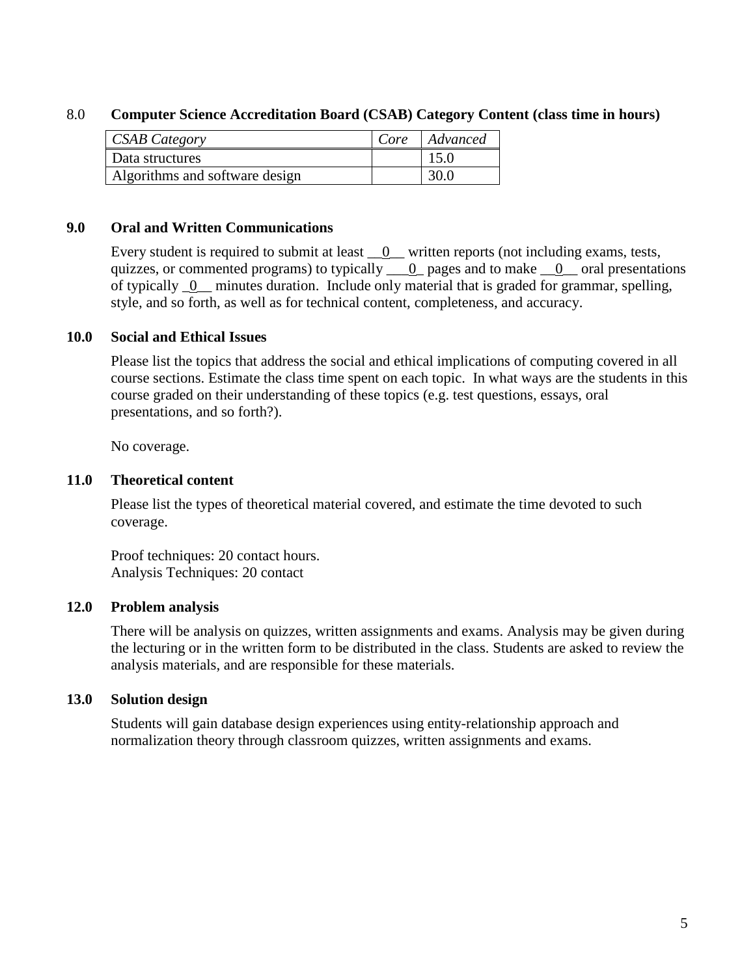# 8.0 **Computer Science Accreditation Board (CSAB) Category Content (class time in hours)**

| <b>CSAB</b> Category           | $\vert$ Core $\vert$ Advanced |
|--------------------------------|-------------------------------|
| Data structures                | 15.0                          |
| Algorithms and software design | 30.0                          |

### **9.0 Oral and Written Communications**

Every student is required to submit at least  $\underline{\hspace{1cm}}0$  written reports (not including exams, tests, quizzes, or commented programs) to typically  $\qquad 0$  pages and to make  $\qquad 0$  oral presentations of typically 0 minutes duration. Include only material that is graded for grammar, spelling, style, and so forth, as well as for technical content, completeness, and accuracy.

### **10.0 Social and Ethical Issues**

Please list the topics that address the social and ethical implications of computing covered in all course sections. Estimate the class time spent on each topic. In what ways are the students in this course graded on their understanding of these topics (e.g. test questions, essays, oral presentations, and so forth?).

No coverage.

### **11.0 Theoretical content**

Please list the types of theoretical material covered, and estimate the time devoted to such coverage.

Proof techniques: 20 contact hours. Analysis Techniques: 20 contact

### **12.0 Problem analysis**

There will be analysis on quizzes, written assignments and exams. Analysis may be given during the lecturing or in the written form to be distributed in the class. Students are asked to review the analysis materials, and are responsible for these materials.

# **13.0 Solution design**

Students will gain database design experiences using entity-relationship approach and normalization theory through classroom quizzes, written assignments and exams.